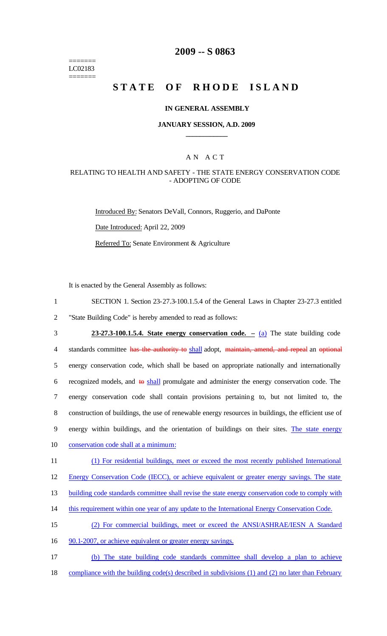======= LC02183 =======

## **2009 -- S 0863**

# **STATE OF RHODE ISLAND**

#### **IN GENERAL ASSEMBLY**

### **JANUARY SESSION, A.D. 2009 \_\_\_\_\_\_\_\_\_\_\_\_**

### A N A C T

### RELATING TO HEALTH AND SAFETY - THE STATE ENERGY CONSERVATION CODE - ADOPTING OF CODE

Introduced By: Senators DeVall, Connors, Ruggerio, and DaPonte

Date Introduced: April 22, 2009

Referred To: Senate Environment & Agriculture

It is enacted by the General Assembly as follows:

- 1 SECTION 1. Section 23-27.3-100.1.5.4 of the General Laws in Chapter 23-27.3 entitled 2 "State Building Code" is hereby amended to read as follows:
- 3 **23-27.3-100.1.5.4. State energy conservation code. –** (a) The state building code 4 standards committee has the authority to shall adopt, maintain, amend, and repeal an optional 5 energy conservation code, which shall be based on appropriate nationally and internationally 6 recognized models, and  $\theta$  shall promulgate and administer the energy conservation code. The 7 energy conservation code shall contain provisions pertaining to, but not limited to, the 8 construction of buildings, the use of renewable energy resources in buildings, the efficient use of 9 energy within buildings, and the orientation of buildings on their sites. The state energy 10 conservation code shall at a minimum:
- 11 (1) For residential buildings, meet or exceed the most recently published International
- 12 Energy Conservation Code (IECC), or achieve equivalent or greater energy savings. The state
- 13 building code standards committee shall revise the state energy conservation code to comply with
- 14 this requirement within one year of any update to the International Energy Conservation Code.
- 15 (2) For commercial buildings, meet or exceed the ANSI/ASHRAE/IESN A Standard
- 16 90.1-2007, or achieve equivalent or greater energy savings.
- 17 (b) The state building code standards committee shall develop a plan to achieve 18 compliance with the building code(s) described in subdivisions (1) and (2) no later than February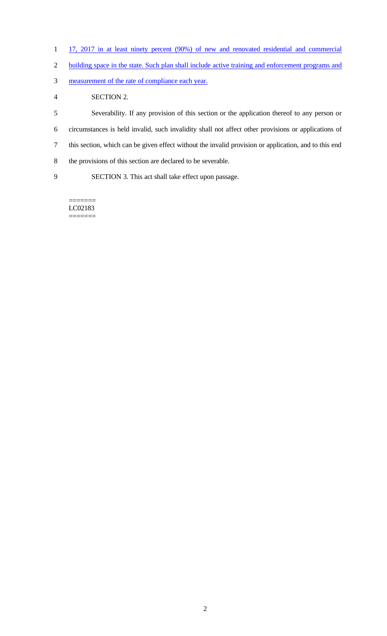- 1 17, 2017 in at least ninety percent (90%) of new and renovated residential and commercial
- building space in the state. Such plan shall include active training and enforcement programs and
- measurement of the rate of compliance each year.
- SECTION 2.

 Severability. If any provision of this section or the application thereof to any person or circumstances is held invalid, such invalidity shall not affect other provisions or applications of this section, which can be given effect without the invalid provision or application, and to this end the provisions of this section are declared to be severable. SECTION 3. This act shall take effect upon passage.

======= LC02183 =======